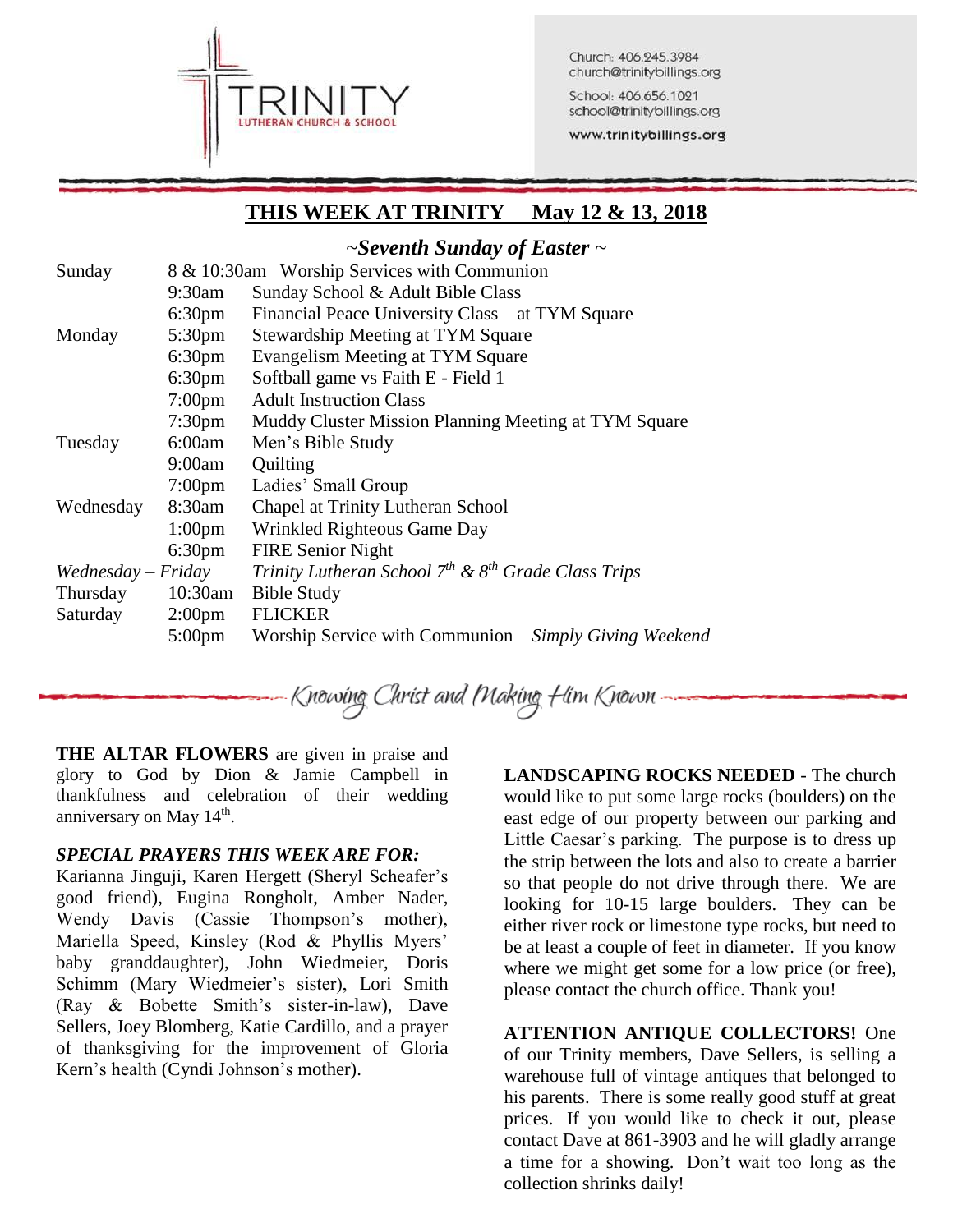

Church: 406.245.3984 church@trinitybillings.org

School: 406.656.1021 school@trinitybillings.org

www.trinitybillings.org

# **THIS WEEK AT TRINITY May 12 & 13, 2018**

### *~Seventh Sunday of Easter ~*

| Sunday               |                    | 8 & 10:30am Worship Services with Communion                   |  |  |  |
|----------------------|--------------------|---------------------------------------------------------------|--|--|--|
|                      | 9:30am             | Sunday School & Adult Bible Class                             |  |  |  |
|                      | 6:30 <sub>pm</sub> | Financial Peace University Class – at TYM Square              |  |  |  |
| Monday               | $5:30 \text{pm}$   | Stewardship Meeting at TYM Square                             |  |  |  |
|                      | $6:30 \text{pm}$   | Evangelism Meeting at TYM Square                              |  |  |  |
|                      | $6:30 \text{pm}$   | Softball game vs Faith E - Field 1                            |  |  |  |
|                      | $7:00 \text{pm}$   | <b>Adult Instruction Class</b>                                |  |  |  |
|                      | $7:30 \text{pm}$   | Muddy Cluster Mission Planning Meeting at TYM Square          |  |  |  |
| Tuesday              | 6:00am             | Men's Bible Study                                             |  |  |  |
|                      | 9:00am             | Quilting                                                      |  |  |  |
|                      | $7:00 \text{pm}$   | Ladies' Small Group                                           |  |  |  |
| Wednesday            | 8:30am             | Chapel at Trinity Lutheran School                             |  |  |  |
|                      | 1:00 <sub>pm</sub> | Wrinkled Righteous Game Day                                   |  |  |  |
|                      | 6:30 <sub>pm</sub> | <b>FIRE Senior Night</b>                                      |  |  |  |
| $We dnes day-Friday$ |                    | Trinity Lutheran School $7^{th}$ & $8^{th}$ Grade Class Trips |  |  |  |
| Thursday             | $10:30$ am         | <b>Bible Study</b>                                            |  |  |  |
| Saturday             | $2:00 \text{pm}$   | <b>FLICKER</b>                                                |  |  |  |
|                      | $5:00 \text{pm}$   | Worship Service with Communion – Simply Giving Weekend        |  |  |  |

Knowing Christ and Making Him Known

**THE ALTAR FLOWERS** are given in praise and glory to God by Dion & Jamie Campbell in thankfulness and celebration of their wedding anniversary on May 14<sup>th</sup>.

#### *SPECIAL PRAYERS THIS WEEK ARE FOR:*

Karianna Jinguji, Karen Hergett (Sheryl Scheafer's good friend), Eugina Rongholt, Amber Nader, Wendy Davis (Cassie Thompson's mother), Mariella Speed, Kinsley (Rod & Phyllis Myers' baby granddaughter), John Wiedmeier, Doris Schimm (Mary Wiedmeier's sister), Lori Smith (Ray & Bobette Smith's sister-in-law), Dave Sellers, Joey Blomberg, Katie Cardillo, and a prayer of thanksgiving for the improvement of Gloria Kern's health (Cyndi Johnson's mother).

**LANDSCAPING ROCKS NEEDED** - The church would like to put some large rocks (boulders) on the east edge of our property between our parking and Little Caesar's parking. The purpose is to dress up the strip between the lots and also to create a barrier so that people do not drive through there. We are looking for 10-15 large boulders. They can be either river rock or limestone type rocks, but need to be at least a couple of feet in diameter. If you know where we might get some for a low price (or free), please contact the church office. Thank you!

**ATTENTION ANTIQUE COLLECTORS!** One of our Trinity members, Dave Sellers, is selling a warehouse full of vintage antiques that belonged to his parents. There is some really good stuff at great prices. If you would like to check it out, please contact Dave at 861-3903 and he will gladly arrange a time for a showing. Don't wait too long as the collection shrinks daily!